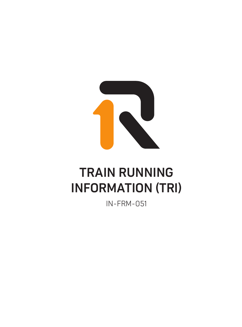

## TRAIN RUNNING INFORMATION (TRI)

IN-FRM-051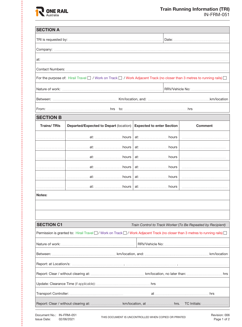

| <b>SECTION A</b>                                                                                                                                                                                                      |                                               |                                                             |                                                                                                                                                                                                                                      |  |  |  |  |  |
|-----------------------------------------------------------------------------------------------------------------------------------------------------------------------------------------------------------------------|-----------------------------------------------|-------------------------------------------------------------|--------------------------------------------------------------------------------------------------------------------------------------------------------------------------------------------------------------------------------------|--|--|--|--|--|
|                                                                                                                                                                                                                       |                                               |                                                             |                                                                                                                                                                                                                                      |  |  |  |  |  |
| Company: www.communication.communication.com/www.communication.com/www.communication.com/www.com                                                                                                                      |                                               |                                                             |                                                                                                                                                                                                                                      |  |  |  |  |  |
|                                                                                                                                                                                                                       |                                               |                                                             |                                                                                                                                                                                                                                      |  |  |  |  |  |
|                                                                                                                                                                                                                       |                                               |                                                             |                                                                                                                                                                                                                                      |  |  |  |  |  |
| For the purpose of: Hirail Travel   / Work on Track   / Work Adjacent Track (no closer than 3 metres to running rails)                                                                                                |                                               |                                                             |                                                                                                                                                                                                                                      |  |  |  |  |  |
|                                                                                                                                                                                                                       |                                               |                                                             |                                                                                                                                                                                                                                      |  |  |  |  |  |
|                                                                                                                                                                                                                       |                                               |                                                             |                                                                                                                                                                                                                                      |  |  |  |  |  |
|                                                                                                                                                                                                                       |                                               |                                                             |                                                                                                                                                                                                                                      |  |  |  |  |  |
| <b>SECTION B</b>                                                                                                                                                                                                      |                                               |                                                             |                                                                                                                                                                                                                                      |  |  |  |  |  |
| <b>Trains/TRIs</b>                                                                                                                                                                                                    | <b>Departed/Expected to Depart (location)</b> | <b>Expected to enter Section</b>                            | <b>Comment</b>                                                                                                                                                                                                                       |  |  |  |  |  |
|                                                                                                                                                                                                                       |                                               |                                                             |                                                                                                                                                                                                                                      |  |  |  |  |  |
|                                                                                                                                                                                                                       |                                               |                                                             |                                                                                                                                                                                                                                      |  |  |  |  |  |
|                                                                                                                                                                                                                       |                                               |                                                             |                                                                                                                                                                                                                                      |  |  |  |  |  |
|                                                                                                                                                                                                                       |                                               |                                                             |                                                                                                                                                                                                                                      |  |  |  |  |  |
|                                                                                                                                                                                                                       |                                               |                                                             |                                                                                                                                                                                                                                      |  |  |  |  |  |
|                                                                                                                                                                                                                       |                                               |                                                             |                                                                                                                                                                                                                                      |  |  |  |  |  |
| Notes:                                                                                                                                                                                                                |                                               |                                                             |                                                                                                                                                                                                                                      |  |  |  |  |  |
|                                                                                                                                                                                                                       |                                               |                                                             |                                                                                                                                                                                                                                      |  |  |  |  |  |
|                                                                                                                                                                                                                       |                                               |                                                             |                                                                                                                                                                                                                                      |  |  |  |  |  |
| <b>SECTION C1</b>                                                                                                                                                                                                     |                                               | Train Control to Track Worker (To Be Repeated by Recipient) |                                                                                                                                                                                                                                      |  |  |  |  |  |
| Permission is granted to: Hirail Travel □ / Work on Track □ / Work Adjacent Track (no closer than 3 metres to running rails) □                                                                                        |                                               |                                                             |                                                                                                                                                                                                                                      |  |  |  |  |  |
|                                                                                                                                                                                                                       |                                               |                                                             |                                                                                                                                                                                                                                      |  |  |  |  |  |
|                                                                                                                                                                                                                       |                                               |                                                             |                                                                                                                                                                                                                                      |  |  |  |  |  |
|                                                                                                                                                                                                                       |                                               |                                                             |                                                                                                                                                                                                                                      |  |  |  |  |  |
|                                                                                                                                                                                                                       |                                               |                                                             |                                                                                                                                                                                                                                      |  |  |  |  |  |
|                                                                                                                                                                                                                       |                                               |                                                             |                                                                                                                                                                                                                                      |  |  |  |  |  |
|                                                                                                                                                                                                                       |                                               |                                                             | at <u>with the set of the set of the set of the set of the set of the set of the set of the set of the set of the set of the set of the set of the set of the set of the set of the set of the set of the set of the set of the </u> |  |  |  |  |  |
| Report: Clear / without clearing at: <b>manufacture in the Clearing at:</b> Law Mocation, at manufacture hrs. TC Initials: <u>Clear / without clearing at: Law</u> Km/location, at manufacture hrs. TC Initials: 2004 |                                               |                                                             |                                                                                                                                                                                                                                      |  |  |  |  |  |